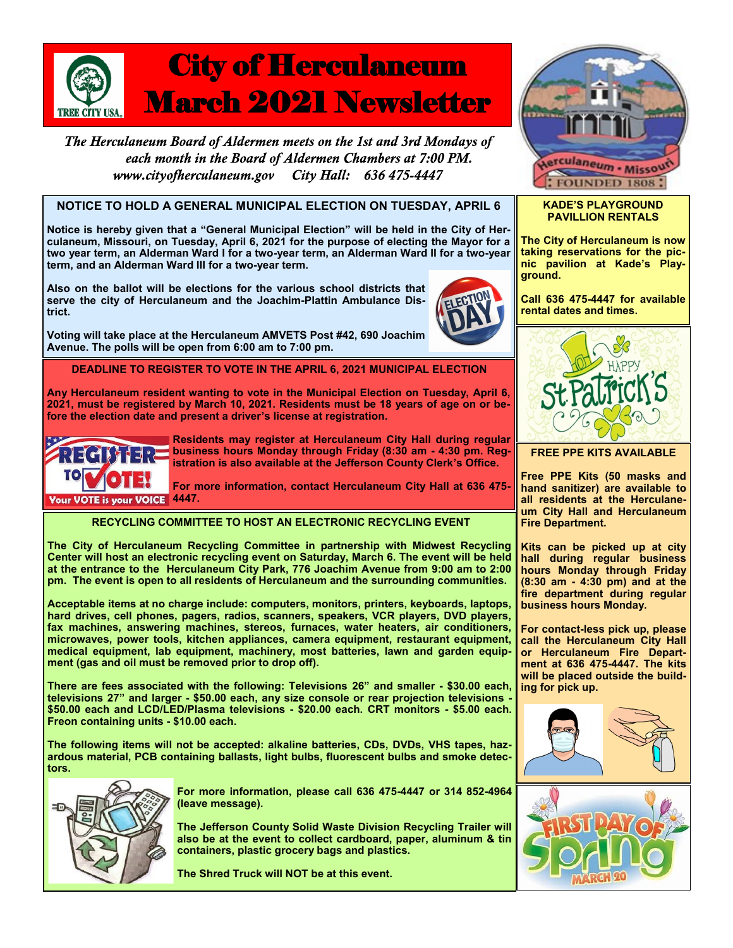

The Herculaneum Board of Aldermen meets on the 1st and 3rd Mondays of each month in the Board of Aldermen Chambers at 7:00 PM. www.cityofherculaneum.gov City Hall: 636 475-4447

# **NOTICE TO HOLD A GENERAL MUNICIPAL ELECTION ON TUESDAY, APRIL 6**

**Notice is hereby given that a "General Municipal Election" will be held in the City of Herculaneum, Missouri, on Tuesday, April 6, 2021 for the purpose of electing the Mayor for a two year term, an Alderman Ward I for a two-year term, an Alderman Ward II for a two-year term, and an Alderman Ward III for a two-year term.** 

**Also on the ballot will be elections for the various school districts that serve the city of Herculaneum and the Joachim-Plattin Ambulance District.**





**Avenue. The polls will be open from 6:00 am to 7:00 pm.**



**Any Herculaneum resident wanting to vote in the Municipal Election on Tuesday, April 6, 2021, must be registered by March 10, 2021. Residents must be 18 years of age on or before the election date and present a driver's license at registration.**



**Residents may register at Herculaneum City Hall during regular business hours Monday through Friday (8:30 am - 4:30 pm. Registration is also available at the Jefferson County Clerk's Office.** 

**For more information, contact Herculaneum City Hall at 636 475-**

**RECYCLING COMMITTEE TO HOST AN ELECTRONIC RECYCLING EVENT** 

**The City of Herculaneum Recycling Committee in partnership with Midwest Recycling Center will host an electronic recycling event on Saturday, March 6. The event will be held at the entrance to the Herculaneum City Park, 776 Joachim Avenue from 9:00 am to 2:00 pm. The event is open to all residents of Herculaneum and the surrounding communities.**

**Acceptable items at no charge include: computers, monitors, printers, keyboards, laptops, hard drives, cell phones, pagers, radios, scanners, speakers, VCR players, DVD players, fax machines, answering machines, stereos, furnaces, water heaters, air conditioners, microwaves, power tools, kitchen appliances, camera equipment, restaurant equipment, medical equipment, lab equipment, machinery, most batteries, lawn and garden equipment (gas and oil must be removed prior to drop off).** 

**There are fees associated with the following: Televisions 26" and smaller - \$30.00 each, televisions 27" and larger - \$50.00 each, any size console or rear projection televisions - \$50.00 each and LCD/LED/Plasma televisions - \$20.00 each. CRT monitors - \$5.00 each. Freon containing units - \$10.00 each.**

**The following items will not be accepted: alkaline batteries, CDs, DVDs, VHS tapes, hazardous material, PCB containing ballasts, light bulbs, fluorescent bulbs and smoke detectors.** 



**For more information, please call 636 475-4447 or 314 852-4964 (leave message).**

**The Jefferson County Solid Waste Division Recycling Trailer will also be at the event to collect cardboard, paper, aluminum & tin containers, plastic grocery bags and plastics.**

**The Shred Truck will NOT be at this event.**



### **KADE'S PLAYGROUND PAVILLION RENTALS**

**The City of Herculaneum is now taking reservations for the picnic pavilion at Kade's Playground.**

**Call 636 475-4447 for available rental dates and times.**



**FREE PPE KITS AVAILABLE**

**Free PPE Kits (50 masks and hand sanitizer) are available to all residents at the Herculaneum City Hall and Herculaneum Fire Department.**

**Kits can be picked up at city hall during regular business hours Monday through Friday (8:30 am - 4:30 pm) and at the fire department during regular business hours Monday.**

**For contact-less pick up, please call the Herculaneum City Hall or Herculaneum Fire Department at 636 475-4447. The kits will be placed outside the building for pick up.**